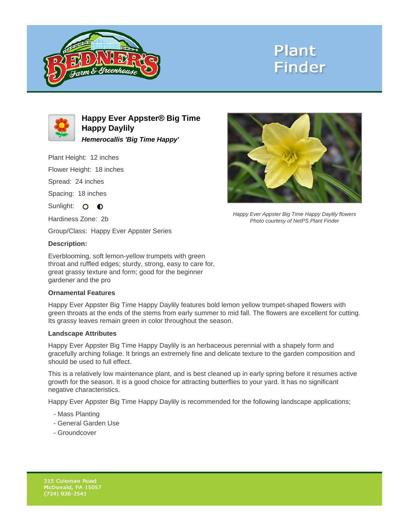

# **Plant Finder**



**Happy Ever Appster® Big Time Happy Daylily Hemerocallis 'Big Time Happy'**

Plant Height: 12 inches

Flower Height: 18 inches

Spread: 24 inches

Spacing: 18 inches

Sunlight: O **O** 

Hardiness Zone: 2b

Group/Class: Happy Ever Appster Series

#### **Description:**

Everblooming, soft lemon-yellow trumpets with green throat and ruffled edges; sturdy, strong, easy to care for, great grassy texture and form; good for the beginner gardener and the pro

## **Ornamental Features**

Happy Ever Appster Big Time Happy Daylily features bold lemon yellow trumpet-shaped flowers with green throats at the ends of the stems from early summer to mid fall. The flowers are excellent for cutting. Its grassy leaves remain green in color throughout the season.

#### **Landscape Attributes**

Happy Ever Appster Big Time Happy Daylily is an herbaceous perennial with a shapely form and gracefully arching foliage. It brings an extremely fine and delicate texture to the garden composition and should be used to full effect.

This is a relatively low maintenance plant, and is best cleaned up in early spring before it resumes active growth for the season. It is a good choice for attracting butterflies to your yard. It has no significant negative characteristics.

Happy Ever Appster Big Time Happy Daylily is recommended for the following landscape applications;

- Mass Planting
- General Garden Use
- Groundcover



Happy Ever Appster Big Time Happy Daylily flowers Photo courtesy of NetPS Plant Finder

315 Coleman Road McDonald, PA 15057  $(724)$  926-2541